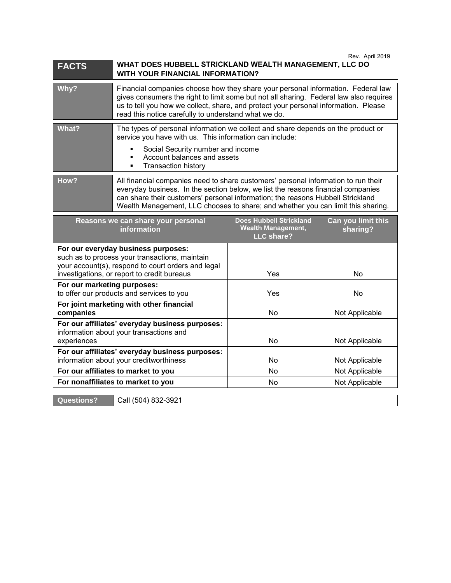| <b>FACTS</b> | Rev. April 2019<br>WHAT DOES HUBBELL STRICKLAND WEALTH MANAGEMENT, LLC DO<br>WITH YOUR FINANCIAL INFORMATION?                                                                                                                                                                                                                                 |
|--------------|-----------------------------------------------------------------------------------------------------------------------------------------------------------------------------------------------------------------------------------------------------------------------------------------------------------------------------------------------|
| Why?         | Financial companies choose how they share your personal information. Federal law<br>gives consumers the right to limit some but not all sharing. Federal law also requires<br>us to tell you how we collect, share, and protect your personal information. Please<br>read this notice carefully to understand what we do.                     |
| What?        | The types of personal information we collect and share depends on the product or<br>service you have with us. This information can include:<br>Social Security number and income<br>Account balances and assets<br><b>Transaction history</b>                                                                                                 |
| How?         | All financial companies need to share customers' personal information to run their<br>everyday business. In the section below, we list the reasons financial companies<br>can share their customers' personal information; the reasons Hubbell Strickland<br>Wealth Management, LLC chooses to share; and whether you can limit this sharing. |

| Reasons we can share your personal<br><b>information</b>                                                                                                                                   | <b>Does Hubbell Strickland</b><br><b>Wealth Management,</b><br>LLC share? | Can you limit this<br>sharing? |
|--------------------------------------------------------------------------------------------------------------------------------------------------------------------------------------------|---------------------------------------------------------------------------|--------------------------------|
| For our everyday business purposes:<br>such as to process your transactions, maintain<br>your account(s), respond to court orders and legal<br>investigations, or report to credit bureaus | Yes                                                                       | No                             |
| For our marketing purposes:<br>to offer our products and services to you                                                                                                                   | Yes                                                                       | No                             |
| For joint marketing with other financial<br>companies                                                                                                                                      | No.                                                                       | Not Applicable                 |
| For our affiliates' everyday business purposes:<br>information about your transactions and<br>experiences                                                                                  | N <sub>o</sub>                                                            | Not Applicable                 |
| For our affiliates' everyday business purposes:<br>information about your creditworthiness                                                                                                 | N <sub>o</sub>                                                            | Not Applicable                 |
| For our affiliates to market to you                                                                                                                                                        | No.                                                                       | Not Applicable                 |
| For nonaffiliates to market to you                                                                                                                                                         | No.                                                                       | Not Applicable                 |
|                                                                                                                                                                                            |                                                                           |                                |

**Questions?** Call (504) 832-3921